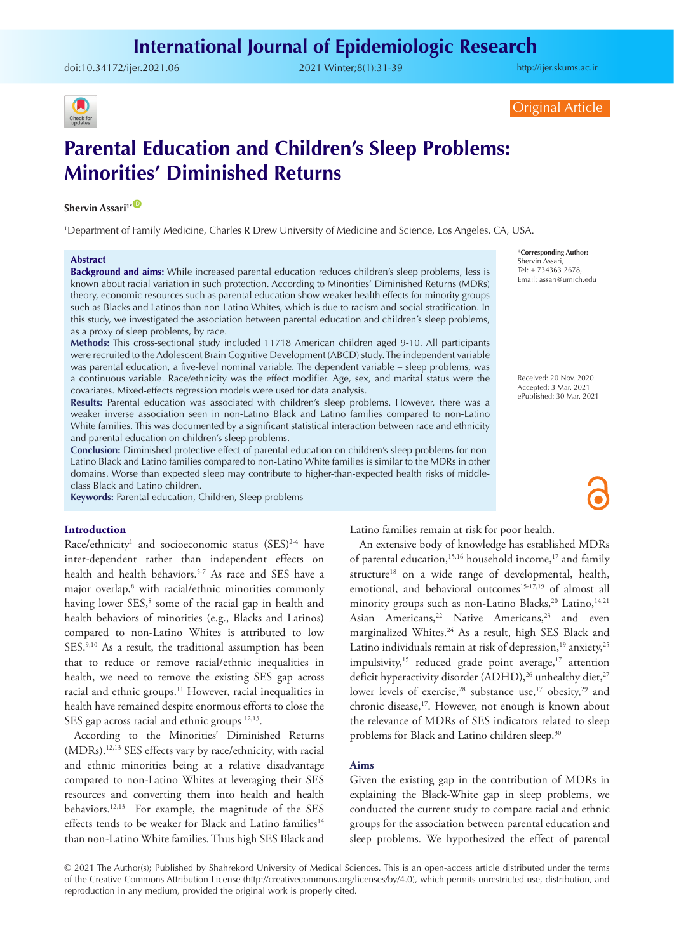doi:[10.34172/ijer.2021.06](https://doi.org/10.34172/ijer.2021.06) 2021 Winter;8(1):31-39

<http://ijer.skums.ac.ir>



## Original Article

# **Parental Education and Children's Sleep Problems: Minorities' Diminished Returns**

# **Shervin Assari<sup>1\*</sub> D</sup>**

1 Department of Family Medicine, Charles R Drew University of Medicine and Science, Los Angeles, CA, USA.

#### **Abstract**

**Background and aims:** While increased parental education reduces children's sleep problems, less is known about racial variation in such protection. According to Minorities' Diminished Returns (MDRs) theory, economic resources such as parental education show weaker health effects for minority groups such as Blacks and Latinos than non-Latino Whites, which is due to racism and social stratification. In this study, we investigated the association between parental education and children's sleep problems, as a proxy of sleep problems, by race.

**Methods:** This cross-sectional study included 11718 American children aged 9-10. All participants were recruited to the Adolescent Brain Cognitive Development (ABCD) study. The independent variable was parental education, a five-level nominal variable. The dependent variable – sleep problems, was a continuous variable. Race/ethnicity was the effect modifier. Age, sex, and marital status were the covariates. Mixed-effects regression models were used for data analysis.

**Results:** Parental education was associated with children's sleep problems. However, there was a weaker inverse association seen in non-Latino Black and Latino families compared to non-Latino White families. This was documented by a significant statistical interaction between race and ethnicity and parental education on children's sleep problems.

**Conclusion:** Diminished protective effect of parental education on children's sleep problems for non-Latino Black and Latino families compared to non-Latino White families is similar to the MDRs in other domains. Worse than expected sleep may contribute to higher-than-expected health risks of middleclass Black and Latino children.

**Keywords:** Parental education, Children, Sleep problems

#### **Introduction**

Race/ethnicity<sup>1</sup> and socioeconomic status  $(SES)^{2-4}$  have inter-dependent rather than independent effects on health and health behaviors.<sup>5-7</sup> As race and SES have a major overlap,<sup>8</sup> with racial/ethnic minorities commonly having lower SES,<sup>8</sup> some of the racial gap in health and health behaviors of minorities (e.g., Blacks and Latinos) compared to non-Latino Whites is attributed to low SES.<sup>9,10</sup> As a result, the traditional assumption has been that to reduce or remove racial/ethnic inequalities in health, we need to remove the existing SES gap across racial and ethnic groups.<sup>11</sup> However, racial inequalities in health have remained despite enormous efforts to close the SES gap across racial and ethnic groups  $12,13$ .

According to the Minorities' Diminished Returns (MDRs).12,13 SES effects vary by race/ethnicity, with racial and ethnic minorities being at a relative disadvantage compared to non-Latino Whites at leveraging their SES resources and converting them into health and health behaviors.12,13 For example, the magnitude of the SES effects tends to be weaker for Black and Latino families<sup>14</sup> than non-Latino White families. Thus high SES Black and

\***Corresponding Author:** Shervin Assari, Tel: + 734363 2678, Email: assari@umich.edu

Received: 20 Nov. 2020 Accepted: 3 Mar. 2021 ePublished: 30 Mar. 2021

Latino families remain at risk for poor health.

An extensive body of knowledge has established MDRs of parental education,<sup>15,16</sup> household income,<sup>17</sup> and family structure<sup>18</sup> on a wide range of developmental, health, emotional, and behavioral outcomes<sup>15-17,19</sup> of almost all minority groups such as non-Latino Blacks,<sup>20</sup> Latino,<sup>14,21</sup> Asian Americans,<sup>22</sup> Native Americans,<sup>23</sup> and even marginalized Whites.<sup>24</sup> As a result, high SES Black and Latino individuals remain at risk of depression,<sup>19</sup> anxiety,<sup>25</sup> impulsivity,<sup>15</sup> reduced grade point average, $17$  attention deficit hyperactivity disorder (ADHD),<sup>26</sup> unhealthy diet,<sup>27</sup> lower levels of exercise,<sup>28</sup> substance use,<sup>17</sup> obesity,<sup>29</sup> and chronic disease,17. However, not enough is known about the relevance of MDRs of SES indicators related to sleep problems for Black and Latino children sleep.<sup>30</sup>

#### **Aims**

Given the existing gap in the contribution of MDRs in explaining the Black-White gap in sleep problems, we conducted the current study to compare racial and ethnic groups for the association between parental education and sleep problems. We hypothesized the effect of parental

© 2021 The Author(s); Published by Shahrekord University of Medical Sciences. This is an open-access article distributed under the terms of the Creative Commons Attribution License (http://creativecommons.org/licenses/by/4.0), which permits unrestricted use, distribution, and reproduction in any medium, provided the original work is properly cited.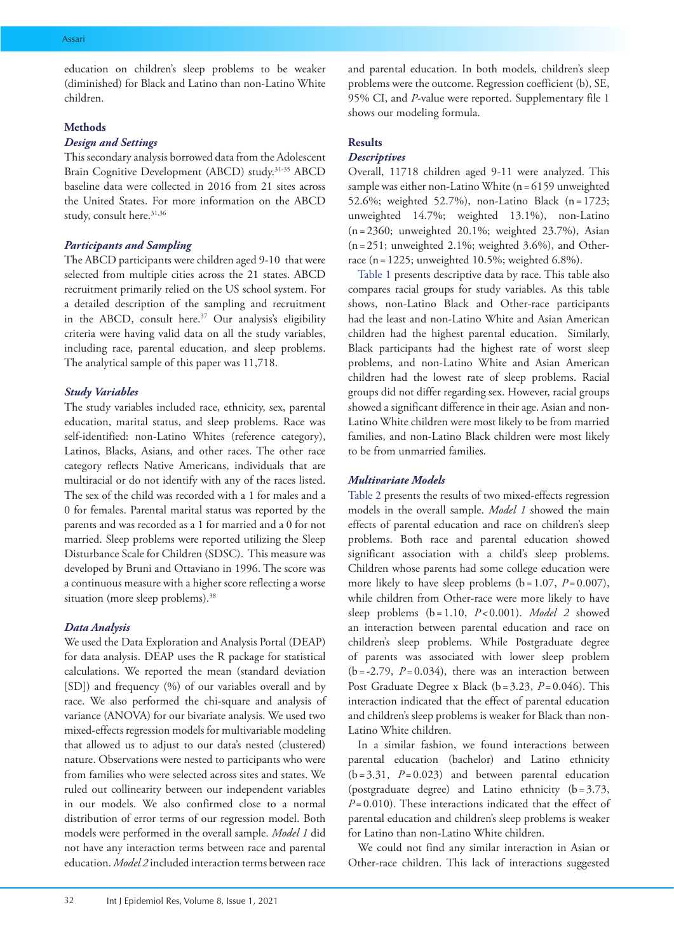education on children's sleep problems to be weaker (diminished) for Black and Latino than non-Latino White children.

## **Methods**

## *Design and Settings*

This secondary analysis borrowed data from the Adolescent Brain Cognitive Development (ABCD) study.31-35 ABCD baseline data were collected in 2016 from 21 sites across the United States. For more information on the ABCD study, consult here.<sup>31,36</sup>

## *Participants and Sampling*

The ABCD participants were children aged 9-10 that were selected from multiple cities across the 21 states. ABCD recruitment primarily relied on the US school system. For a detailed description of the sampling and recruitment in the ABCD, consult here.<sup>37</sup> Our analysis's eligibility criteria were having valid data on all the study variables, including race, parental education, and sleep problems. The analytical sample of this paper was 11,718.

## *Study Variables*

The study variables included race, ethnicity, sex, parental education, marital status, and sleep problems. Race was self-identified: non-Latino Whites (reference category), Latinos, Blacks, Asians, and other races. The other race category reflects Native Americans, individuals that are multiracial or do not identify with any of the races listed. The sex of the child was recorded with a 1 for males and a 0 for females. Parental marital status was reported by the parents and was recorded as a 1 for married and a 0 for not married. Sleep problems were reported utilizing the Sleep Disturbance Scale for Children (SDSC). This measure was developed by Bruni and Ottaviano in 1996. The score was a continuous measure with a higher score reflecting a worse situation (more sleep problems).<sup>38</sup>

## *Data Analysis*

We used the Data Exploration and Analysis Portal (DEAP) for data analysis. DEAP uses the R package for statistical calculations. We reported the mean (standard deviation [SD]) and frequency (%) of our variables overall and by race. We also performed the chi-square and analysis of variance (ANOVA) for our bivariate analysis. We used two mixed-effects regression models for multivariable modeling that allowed us to adjust to our data's nested (clustered) nature. Observations were nested to participants who were from families who were selected across sites and states. We ruled out collinearity between our independent variables in our models. We also confirmed close to a normal distribution of error terms of our regression model. Both models were performed in the overall sample. *Model 1* did not have any interaction terms between race and parental education. *Model 2* included interaction terms between race and parental education. In both models, children's sleep problems were the outcome. Regression coefficient (b), SE, 95% CI, and *P*-value were reported. Supplementary file 1 shows our modeling formula.

# **Results**

# *Descriptives*

Overall, 11718 children aged 9-11 were analyzed. This sample was either non-Latino White (n=6159 unweighted 52.6%; weighted 52.7%), non-Latino Black (n= 1723; unweighted 14.7%; weighted 13.1%), non-Latino  $(n=2360;$  unweighted 20.1%; weighted 23.7%), Asian  $(n=251;$  unweighted 2.1%; weighted 3.6%), and Otherrace (n=1225; unweighted 10.5%; weighted 6.8%).

[Table 1](#page-2-0) presents descriptive data by race. This table also compares racial groups for study variables. As this table shows, non-Latino Black and Other-race participants had the least and non-Latino White and Asian American children had the highest parental education. Similarly, Black participants had the highest rate of worst sleep problems, and non-Latino White and Asian American children had the lowest rate of sleep problems. Racial groups did not differ regarding sex. However, racial groups showed a significant difference in their age. Asian and non-Latino White children were most likely to be from married families, and non-Latino Black children were most likely to be from unmarried families.

## *Multivariate Models*

[Table 2](#page-3-0) presents the results of two mixed-effects regression models in the overall sample. *Model 1* showed the main effects of parental education and race on children's sleep problems. Both race and parental education showed significant association with a child's sleep problems. Children whose parents had some college education were more likely to have sleep problems  $(b = 1.07, P = 0.007)$ , while children from Other-race were more likely to have sleep problems  $(b = 1.10, P < 0.001)$ . *Model 2* showed an interaction between parental education and race on children's sleep problems. While Postgraduate degree of parents was associated with lower sleep problem  $(b=-2.79, P=0.034)$ , there was an interaction between Post Graduate Degree x Black (b=3.23, *P*=0.046). This interaction indicated that the effect of parental education and children's sleep problems is weaker for Black than non-Latino White children.

In a similar fashion, we found interactions between parental education (bachelor) and Latino ethnicity  $(b=3.31, P=0.023)$  and between parental education (postgraduate degree) and Latino ethnicity (b=3.73, *P*= 0.010). These interactions indicated that the effect of parental education and children's sleep problems is weaker for Latino than non-Latino White children.

We could not find any similar interaction in Asian or Other-race children. This lack of interactions suggested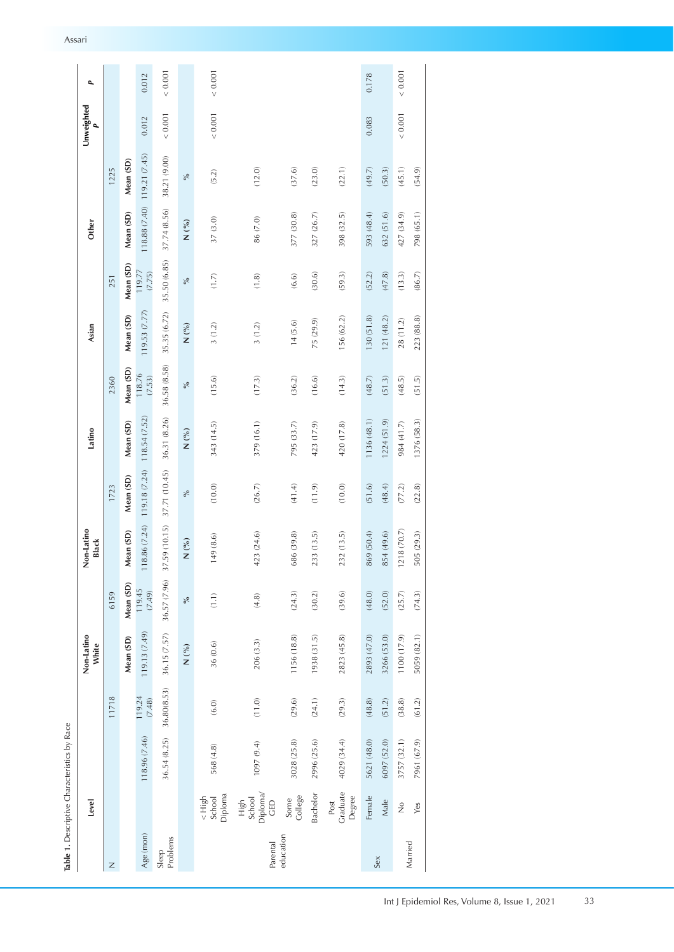<span id="page-2-0"></span>

|                   |                                   | Table 1. Descriptive Characteristics by Race |                      |                     |                  |                     |               |              |                  |              |                  |               |               |                 |             |
|-------------------|-----------------------------------|----------------------------------------------|----------------------|---------------------|------------------|---------------------|---------------|--------------|------------------|--------------|------------------|---------------|---------------|-----------------|-------------|
|                   | Level                             |                                              |                      | Non-Latino<br>White |                  | Non-Latino<br>Black |               | Latino       |                  | Asian        |                  | Other         |               | Unweighted<br>٩ | ٩           |
| Z                 |                                   |                                              | 11718                |                     | 6159             |                     | 1723          |              | 2360             |              | 251              |               | 1225          |                 |             |
|                   |                                   |                                              |                      | Mean (SD)           | Mean (SD)        | Mean (SD)           | Mean (SD)     | Mean (SD)    | Mean (SD)        | Mean (SD)    | Mean (SD)        | Mean (SD)     | Mean (SD)     |                 |             |
| Age (mon)         |                                   | 118.96 (7.46)                                | 119.24<br>(7.48)     | 119.13 (7.49)       | 119.45<br>(7.49) | 18.86 (7.24)        | 119.18 (7.24) | 118.54(7.52) | 118.76<br>(7.53) | 119.53(7.77) | 119.77<br>(7.75) | 118.88 (7.40) | 119.21 (7.45) | 0.012           | 0.012       |
| Problems<br>Sleep |                                   | 36.54 (8.25)                                 | 36.80(8.53)          | 36.15 (7.57)        | 36.57 (7.96)     | 37.59 (10.15)       | 37.71 (10.45) | 36.31 (8.26) | 36.58 (8.58)     | 35.35 (6.72) | 35.50 (6.85)     | 37.74 (8.56)  | 38.21 (9.00)  | 0.001           | < 0.001     |
|                   |                                   |                                              |                      | $\mathsf{N}\,(\%)$  | $\%$             | $N($ %) $\,$        | $\%$          | $N($ %) $\,$ | $\%$             | $N($ %) $\,$ | $\%$             | $N($ %) $\,$  | $\%$          |                 |             |
|                   | Diploma<br>School<br>$\leq H$ igh | 568 (4.8)                                    | (6.0)                | 36 (0.6)            | (1.1)            | 149 (8.6)           | (10.0)        | 343 (14.5)   | (15.6)           | 3(1.2)       | (1.7)            | 37(3.0)       | (5.2)         | 0.001           | < 0.001     |
| Parental          | Diploma/<br>GED<br>School<br>High | 1097 (9.4)                                   | (11.0)               | 206(3.3)            | $(4.8)$          | 423 (24.6)          | (26.7)        | 379 (16.1)   | (17.3)           | 3(1.2)       | (1.8)            | 86 (7.0)      | (12.0)        |                 |             |
| education         | College<br>Some                   | 3028 (25.8)                                  | (29.6)               | 1156 (18.8)         | (24.3)           | 686 (39.8)          | (41.4)        | 795 (33.7)   | (36.2)           | 14(5.6)      | (6.6)            | 377 (30.8)    | (37.6)        |                 |             |
|                   | Bachelor                          | 2996 (25.6)                                  | (24.1)               | 1938 (31.5)         | (30.2)           | 233 (13.5)          | (11.9)        | 423 (17.9)   | (16.6)           | 75 (29.9)    | (30.6)           | 327 (26.7)    | (23.0)        |                 |             |
|                   | Graduate<br>Degree<br>Post        | 4029 (34.4)                                  | (29.3)               | 2823 (45.8)         | (39.6)           | 232 (13.5)          | (10.0)        | 420 (17.8)   | (14.3)           | 156 (62.2)   | (59.3)           | 398 (32.5)    | (22.1)        |                 |             |
| Sex               | Female                            | 5621 (48.0)                                  | (48.8)               | 2893 (47.0)         | (48.0)           | 869 (50.4)          | (51.6)        | 1136(48.1)   | (48.7)           | 130 (51.8)   | (52.2)           | 593 (48.4)    | (49.7)        | 0.083           | 0.178       |
|                   | Male                              | 6097 (52.0)                                  | (51.2)               | 3266 (53.0)         | (52.0)           | 854 (49.6)          | (48.4)        | 1224(51.9)   | (51.3)           | 121 (48.2)   | (47.8)           | 632 (51.6)    | (50.3)        |                 |             |
| Married           | $\frac{1}{2}$                     | 3757 (32.1)                                  | $\left( 38.8\right)$ | 1100 (17.9)         | (25.7)           | 1218 (70.7)         | (77.2)        | 984 (41.7)   | (48.5)           | 28 (11.2)    | (13.3)           | 427 (34.9)    | (45.1)        | 0.001           | ${}< 0.001$ |
|                   | Yes                               | 7961 (67.9)                                  | (61.2)               | 5059 (82.1)         | (74.3)           | 505 (29.3)          | (22.8)        | 1376 (58.3)  | (51.5)           | 223 (88.8)   | (86.7)           | 798 (65.1)    | (54.9)        |                 |             |
|                   |                                   |                                              |                      |                     |                  |                     |               |              |                  |              |                  |               |               |                 |             |

| Assarı |  |  |  |
|--------|--|--|--|
|        |  |  |  |
|        |  |  |  |
|        |  |  |  |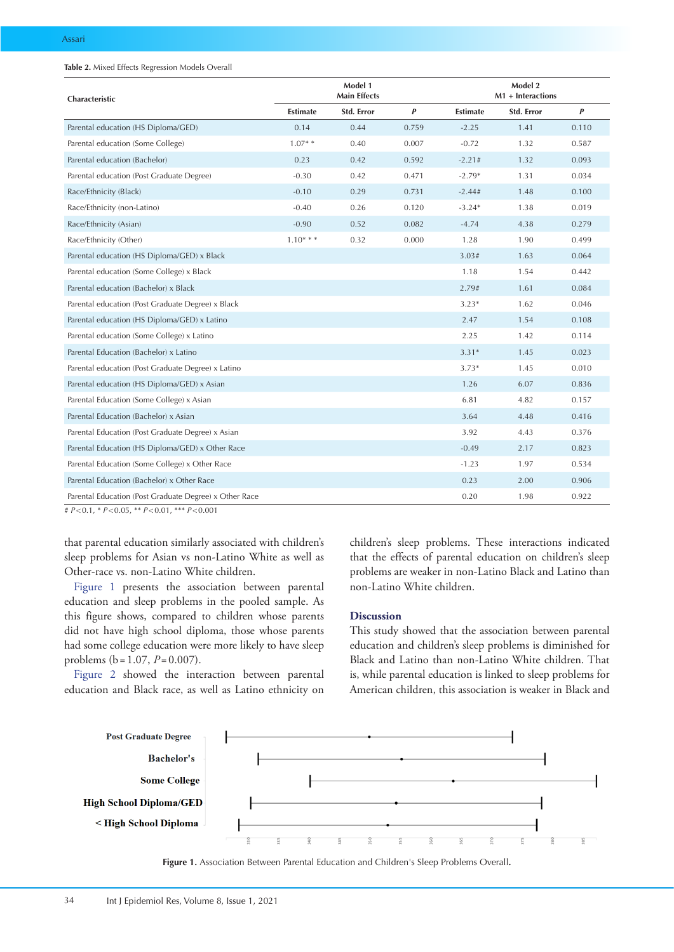#### <span id="page-3-0"></span>**Table 2.** Mixed Effects Regression Models Overall

| Characteristic                                         | Model 1<br><b>Main Effects</b> |            |       |                 | Model 2<br>M1 + Interactions |       |
|--------------------------------------------------------|--------------------------------|------------|-------|-----------------|------------------------------|-------|
|                                                        | <b>Estimate</b>                | Std. Error | P     | <b>Estimate</b> | Std. Error                   | P     |
| Parental education (HS Diploma/GED)                    | 0.14                           | 0.44       | 0.759 | $-2.25$         | 1.41                         | 0.110 |
| Parental education (Some College)                      | $1.07**$                       | 0.40       | 0.007 | $-0.72$         | 1.32                         | 0.587 |
| Parental education (Bachelor)                          | 0.23                           | 0.42       | 0.592 | $-2.21#$        | 1.32                         | 0.093 |
| Parental education (Post Graduate Degree)              | $-0.30$                        | 0.42       | 0.471 | $-2.79*$        | 1.31                         | 0.034 |
| Race/Ethnicity (Black)                                 | $-0.10$                        | 0.29       | 0.731 | $-2.44#$        | 1.48                         | 0.100 |
| Race/Ethnicity (non-Latino)                            | $-0.40$                        | 0.26       | 0.120 | $-3.24*$        | 1.38                         | 0.019 |
| Race/Ethnicity (Asian)                                 | $-0.90$                        | 0.52       | 0.082 | $-4.74$         | 4.38                         | 0.279 |
| Race/Ethnicity (Other)                                 | $1.10***$                      | 0.32       | 0.000 | 1.28            | 1.90                         | 0.499 |
| Parental education (HS Diploma/GED) x Black            |                                |            |       | 3.03#           | 1.63                         | 0.064 |
| Parental education (Some College) x Black              |                                |            |       | 1.18            | 1.54                         | 0.442 |
| Parental education (Bachelor) x Black                  |                                |            |       | 2.79#           | 1.61                         | 0.084 |
| Parental education (Post Graduate Degree) x Black      |                                |            |       | $3.23*$         | 1.62                         | 0.046 |
| Parental education (HS Diploma/GED) x Latino           |                                |            |       | 2.47            | 1.54                         | 0.108 |
| Parental education (Some College) x Latino             |                                |            |       | 2.25            | 1.42                         | 0.114 |
| Parental Education (Bachelor) x Latino                 |                                |            |       | $3.31*$         | 1.45                         | 0.023 |
| Parental education (Post Graduate Degree) x Latino     |                                |            |       | $3.73*$         | 1.45                         | 0.010 |
| Parental education (HS Diploma/GED) x Asian            |                                |            |       | 1.26            | 6.07                         | 0.836 |
| Parental Education (Some College) x Asian              |                                |            |       | 6.81            | 4.82                         | 0.157 |
| Parental Education (Bachelor) x Asian                  |                                |            |       | 3.64            | 4.48                         | 0.416 |
| Parental Education (Post Graduate Degree) x Asian      |                                |            |       | 3.92            | 4.43                         | 0.376 |
| Parental Education (HS Diploma/GED) x Other Race       |                                |            |       | $-0.49$         | 2.17                         | 0.823 |
| Parental Education (Some College) x Other Race         |                                |            |       | $-1.23$         | 1.97                         | 0.534 |
| Parental Education (Bachelor) x Other Race             |                                |            |       | 0.23            | 2.00                         | 0.906 |
| Parental Education (Post Graduate Degree) x Other Race |                                |            |       | 0.20            | 1.98                         | 0.922 |

# *P*<0.1, \* *P*<0.05, \*\* *P*<0.01, \*\*\* *P*<0.001

that parental education similarly associated with children's sleep problems for Asian vs non-Latino White as well as Other-race vs. non-Latino White children.

[Figure 1](#page-3-1) presents the association between parental education and sleep problems in the pooled sample. As this figure shows, compared to children whose parents did not have high school diploma, those whose parents had some college education were more likely to have sleep problems (b =1.07, *P*=0.007).

[Figure 2](#page-4-0) showed the interaction between parental education and Black race, as well as Latino ethnicity on children's sleep problems. These interactions indicated that the effects of parental education on children's sleep problems are weaker in non-Latino Black and Latino than non-Latino White children.

## **Discussion**

This study showed that the association between parental education and children's sleep problems is diminished for Black and Latino than non-Latino White children. That is, while parental education is linked to sleep problems for American children, this association is weaker in Black and

<span id="page-3-1"></span>

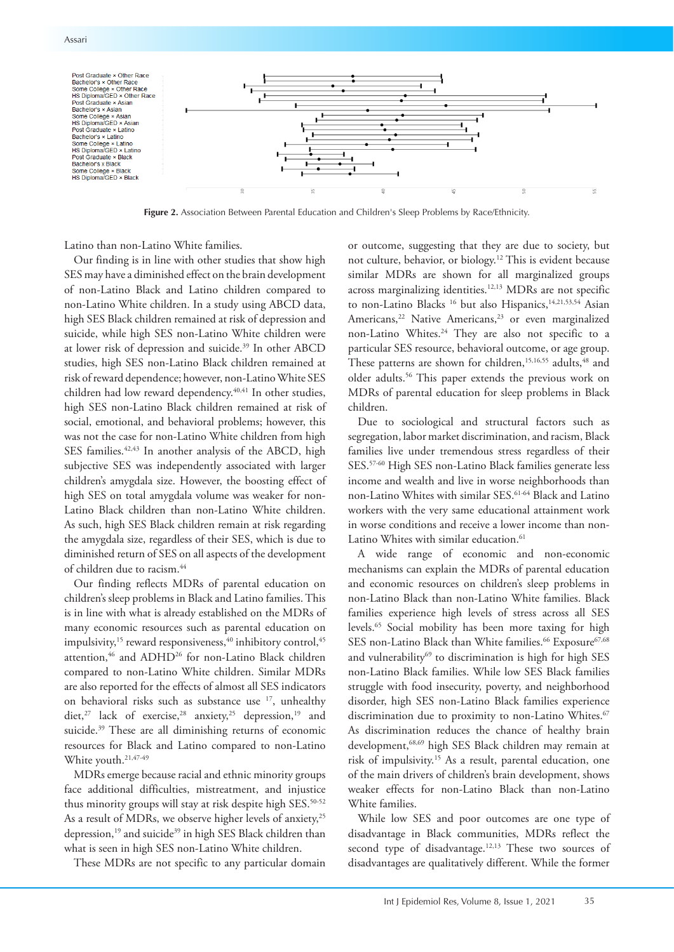

<span id="page-4-0"></span>

**Figure 2.** Association Between Parental Education and Children's Sleep Problems by Race/Ethnicity.

Latino than non-Latino White families.

Our finding is in line with other studies that show high SES may have a diminished effect on the brain development of non-Latino Black and Latino children compared to non-Latino White children. In a study using ABCD data, high SES Black children remained at risk of depression and suicide, while high SES non-Latino White children were at lower risk of depression and suicide.<sup>39</sup> In other ABCD studies, high SES non-Latino Black children remained at risk of reward dependence; however, non-Latino White SES children had low reward dependency.<sup>40,41</sup> In other studies, high SES non-Latino Black children remained at risk of social, emotional, and behavioral problems; however, this was not the case for non-Latino White children from high SES families.<sup>42,43</sup> In another analysis of the ABCD, high subjective SES was independently associated with larger children's amygdala size. However, the boosting effect of high SES on total amygdala volume was weaker for non-Latino Black children than non-Latino White children. As such, high SES Black children remain at risk regarding the amygdala size, regardless of their SES, which is due to diminished return of SES on all aspects of the development of children due to racism.44

Our finding reflects MDRs of parental education on children's sleep problems in Black and Latino families. This is in line with what is already established on the MDRs of many economic resources such as parental education on impulsivity, $15$  reward responsiveness, $40$  inhibitory control, $45$ attention,<sup>46</sup> and ADHD<sup>26</sup> for non-Latino Black children compared to non-Latino White children. Similar MDRs are also reported for the effects of almost all SES indicators on behavioral risks such as substance use 17, unhealthy diet,<sup>27</sup> lack of exercise,<sup>28</sup> anxiety,<sup>25</sup> depression,<sup>19</sup> and suicide.<sup>39</sup> These are all diminishing returns of economic resources for Black and Latino compared to non-Latino White youth.<sup>21,47-49</sup>

MDRs emerge because racial and ethnic minority groups face additional difficulties, mistreatment, and injustice thus minority groups will stay at risk despite high SES.<sup>50-52</sup> As a result of MDRs, we observe higher levels of anxiety,<sup>25</sup> depression,<sup>19</sup> and suicide<sup>39</sup> in high SES Black children than what is seen in high SES non-Latino White children.

These MDRs are not specific to any particular domain

or outcome, suggesting that they are due to society, but not culture, behavior, or biology.12 This is evident because similar MDRs are shown for all marginalized groups across marginalizing identities.12,13 MDRs are not specific to non-Latino Blacks<sup>16</sup> but also Hispanics,<sup>14,21,53,54</sup> Asian Americans,<sup>22</sup> Native Americans,<sup>23</sup> or even marginalized non-Latino Whites.24 They are also not specific to a particular SES resource, behavioral outcome, or age group. These patterns are shown for children,<sup>15,16,55</sup> adults,<sup>48</sup> and older adults.56 This paper extends the previous work on MDRs of parental education for sleep problems in Black children.

Due to sociological and structural factors such as segregation, labor market discrimination, and racism, Black families live under tremendous stress regardless of their SES.57-60 High SES non-Latino Black families generate less income and wealth and live in worse neighborhoods than non-Latino Whites with similar SES.61-64 Black and Latino workers with the very same educational attainment work in worse conditions and receive a lower income than non-Latino Whites with similar education.<sup>61</sup>

A wide range of economic and non-economic mechanisms can explain the MDRs of parental education and economic resources on children's sleep problems in non-Latino Black than non-Latino White families. Black families experience high levels of stress across all SES levels.65 Social mobility has been more taxing for high SES non-Latino Black than White families.<sup>66</sup> Exposure<sup>67,68</sup> and vulnerability<sup>69</sup> to discrimination is high for high SES non-Latino Black families. While low SES Black families struggle with food insecurity, poverty, and neighborhood disorder, high SES non-Latino Black families experience discrimination due to proximity to non-Latino Whites.<sup>67</sup> As discrimination reduces the chance of healthy brain development,68,69 high SES Black children may remain at risk of impulsivity.15 As a result, parental education, one of the main drivers of children's brain development, shows weaker effects for non-Latino Black than non-Latino White families.

While low SES and poor outcomes are one type of disadvantage in Black communities, MDRs reflect the second type of disadvantage.<sup>12,13</sup> These two sources of disadvantages are qualitatively different. While the former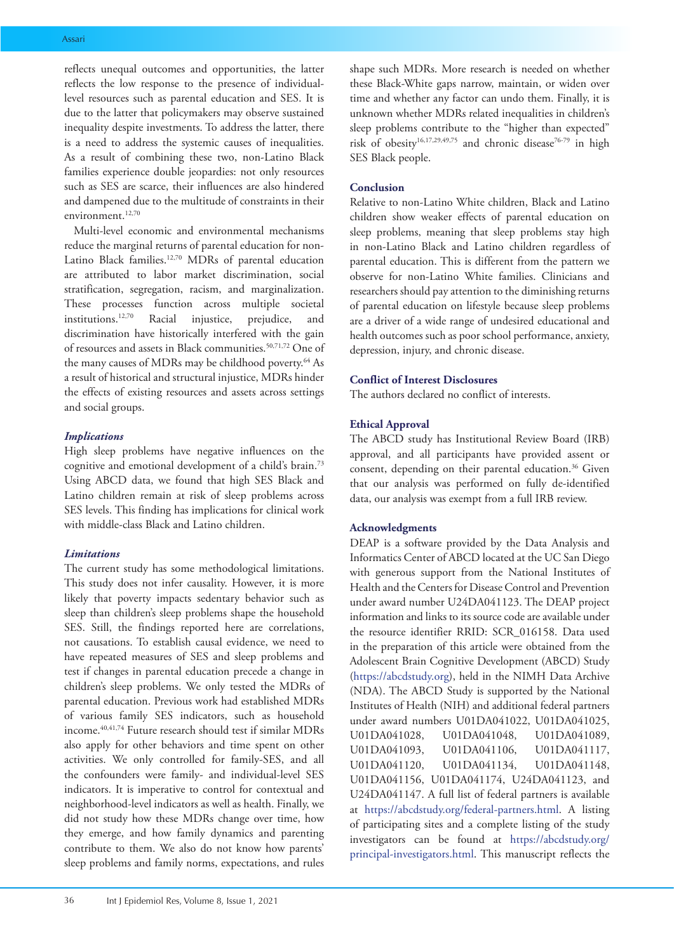reflects unequal outcomes and opportunities, the latter reflects the low response to the presence of individuallevel resources such as parental education and SES. It is due to the latter that policymakers may observe sustained inequality despite investments. To address the latter, there is a need to address the systemic causes of inequalities. As a result of combining these two, non-Latino Black families experience double jeopardies: not only resources such as SES are scarce, their influences are also hindered and dampened due to the multitude of constraints in their environment.<sup>12,70</sup>

Multi-level economic and environmental mechanisms reduce the marginal returns of parental education for non-Latino Black families.<sup>12,70</sup> MDRs of parental education are attributed to labor market discrimination, social stratification, segregation, racism, and marginalization. These processes function across multiple societal institutions.12,70 Racial injustice, prejudice, and discrimination have historically interfered with the gain of resources and assets in Black communities.<sup>50,71,72</sup> One of the many causes of MDRs may be childhood poverty.<sup>64</sup> As a result of historical and structural injustice, MDRs hinder the effects of existing resources and assets across settings and social groups.

# *Implications*

High sleep problems have negative influences on the cognitive and emotional development of a child's brain.73 Using ABCD data, we found that high SES Black and Latino children remain at risk of sleep problems across SES levels. This finding has implications for clinical work with middle-class Black and Latino children.

## *Limitations*

The current study has some methodological limitations. This study does not infer causality. However, it is more likely that poverty impacts sedentary behavior such as sleep than children's sleep problems shape the household SES. Still, the findings reported here are correlations, not causations. To establish causal evidence, we need to have repeated measures of SES and sleep problems and test if changes in parental education precede a change in children's sleep problems. We only tested the MDRs of parental education. Previous work had established MDRs of various family SES indicators, such as household income.40,41,74 Future research should test if similar MDRs also apply for other behaviors and time spent on other activities. We only controlled for family-SES, and all the confounders were family- and individual-level SES indicators. It is imperative to control for contextual and neighborhood-level indicators as well as health. Finally, we did not study how these MDRs change over time, how they emerge, and how family dynamics and parenting contribute to them. We also do not know how parents' sleep problems and family norms, expectations, and rules

shape such MDRs. More research is needed on whether these Black-White gaps narrow, maintain, or widen over time and whether any factor can undo them. Finally, it is unknown whether MDRs related inequalities in children's sleep problems contribute to the "higher than expected" risk of obesity<sup>16,17,29,49,75</sup> and chronic disease<sup>76-79</sup> in high SES Black people.

## **Conclusion**

Relative to non-Latino White children, Black and Latino children show weaker effects of parental education on sleep problems, meaning that sleep problems stay high in non-Latino Black and Latino children regardless of parental education. This is different from the pattern we observe for non-Latino White families. Clinicians and researchers should pay attention to the diminishing returns of parental education on lifestyle because sleep problems are a driver of a wide range of undesired educational and health outcomes such as poor school performance, anxiety, depression, injury, and chronic disease.

## **Conflict of Interest Disclosures**

The authors declared no conflict of interests.

## **Ethical Approval**

The ABCD study has Institutional Review Board (IRB) approval, and all participants have provided assent or consent, depending on their parental education.<sup>36</sup> Given that our analysis was performed on fully de-identified data, our analysis was exempt from a full IRB review.

## **Acknowledgments**

DEAP is a software provided by the Data Analysis and Informatics Center of ABCD located at the UC San Diego with generous support from the National Institutes of Health and the Centers for Disease Control and Prevention under award number U24DA041123. The DEAP project information and links to its source code are available under the resource identifier RRID: SCR\_016158. Data used in the preparation of this article were obtained from the Adolescent Brain Cognitive Development (ABCD) Study [\(https://abcdstudy.org\)](https://abcdstudy.org), held in the NIMH Data Archive (NDA). The ABCD Study is supported by the National Institutes of Health (NIH) and additional federal partners under award numbers U01DA041022, U01DA041025, U01DA041028, U01DA041048, U01DA041089, U01DA041093, U01DA041106, U01DA041117, U01DA041120, U01DA041134, U01DA041148, U01DA041156, U01DA041174, U24DA041123, and U24DA041147. A full list of federal partners is available at [https://abcdstudy.org/federal-partners.html.](https://abcdstudy.org/federal-partners.html) A listing of participating sites and a complete listing of the study investigators can be found at [https://abcdstudy.org/](https://abcdstudy.org/principal-investigators.html) [principal-investigators.html.](https://abcdstudy.org/principal-investigators.html) This manuscript reflects the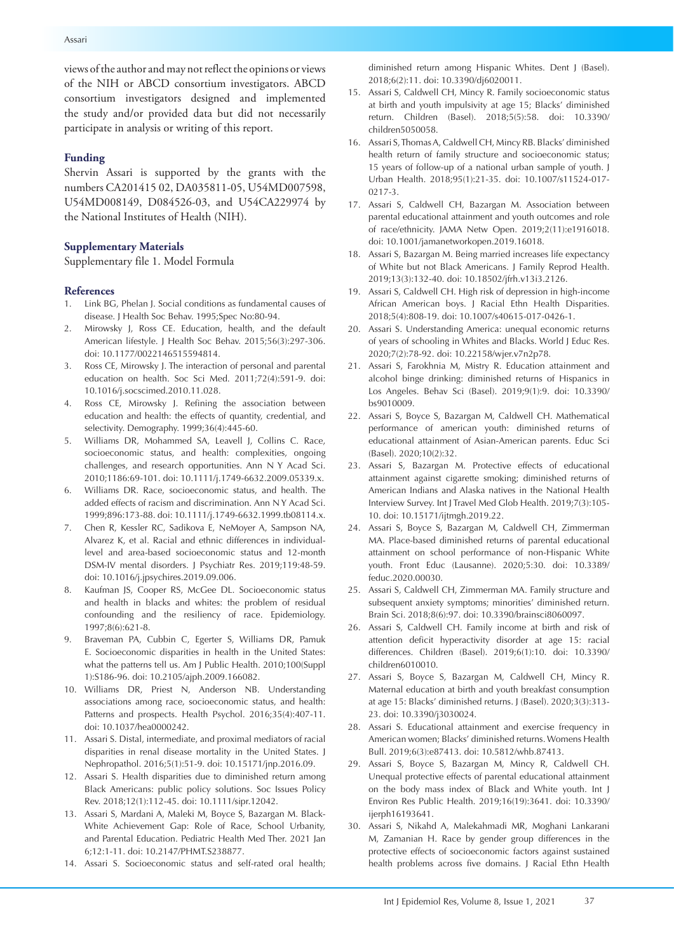views of the author and may not reflect the opinions or views of the NIH or ABCD consortium investigators. ABCD consortium investigators designed and implemented the study and/or provided data but did not necessarily participate in analysis or writing of this report.

### **Funding**

Shervin Assari is supported by the grants with the numbers CA201415 02, DA035811-05, U54MD007598, U54MD008149, D084526-03, and U54CA229974 by the National Institutes of Health (NIH).

## **Supplementary Materials**

Supplementary file 1. Model Formula

#### **References**

- 1. Link BG, Phelan J. Social conditions as fundamental causes of disease. J Health Soc Behav. 1995;Spec No:80-94.
- 2. Mirowsky J, Ross CE. Education, health, and the default American lifestyle. J Health Soc Behav. 2015;56(3):297-306. doi: 10.1177/0022146515594814.
- 3. Ross CE, Mirowsky J. The interaction of personal and parental education on health. Soc Sci Med. 2011;72(4):591-9. doi: 10.1016/j.socscimed.2010.11.028.
- 4. Ross CE, Mirowsky J. Refining the association between education and health: the effects of quantity, credential, and selectivity. Demography. 1999;36(4):445-60.
- 5. Williams DR, Mohammed SA, Leavell J, Collins C. Race, socioeconomic status, and health: complexities, ongoing challenges, and research opportunities. Ann N Y Acad Sci. 2010;1186:69-101. doi: 10.1111/j.1749-6632.2009.05339.x.
- 6. Williams DR. Race, socioeconomic status, and health. The added effects of racism and discrimination. Ann N Y Acad Sci. 1999;896:173-88. doi: 10.1111/j.1749-6632.1999.tb08114.x.
- 7. Chen R, Kessler RC, Sadikova E, NeMoyer A, Sampson NA, Alvarez K, et al. Racial and ethnic differences in individuallevel and area-based socioeconomic status and 12-month DSM-IV mental disorders. J Psychiatr Res. 2019;119:48-59. doi: 10.1016/j.jpsychires.2019.09.006.
- 8. Kaufman JS, Cooper RS, McGee DL. Socioeconomic status and health in blacks and whites: the problem of residual confounding and the resiliency of race. Epidemiology. 1997;8(6):621-8.
- 9. Braveman PA, Cubbin C, Egerter S, Williams DR, Pamuk E. Socioeconomic disparities in health in the United States: what the patterns tell us. Am J Public Health. 2010;100(Suppl 1):S186-96. doi: 10.2105/ajph.2009.166082.
- 10. Williams DR, Priest N, Anderson NB. Understanding associations among race, socioeconomic status, and health: Patterns and prospects. Health Psychol. 2016;35(4):407-11. doi: 10.1037/hea0000242.
- 11. Assari S. Distal, intermediate, and proximal mediators of racial disparities in renal disease mortality in the United States. J Nephropathol. 2016;5(1):51-9. doi: 10.15171/jnp.2016.09.
- 12. Assari S. Health disparities due to diminished return among Black Americans: public policy solutions. Soc Issues Policy Rev. 2018;12(1):112-45. doi: 10.1111/sipr.12042.
- 13. Assari S, Mardani A, Maleki M, Boyce S, Bazargan M. Black-White Achievement Gap: Role of Race, School Urbanity, and Parental Education. Pediatric Health Med Ther. 2021 Jan 6;12:1-11. doi: 10.2147/PHMT.S238877.
- 14. Assari S. Socioeconomic status and self-rated oral health;

diminished return among Hispanic Whites. Dent J (Basel). 2018;6(2):11. doi: 10.3390/dj6020011.

- 15. Assari S, Caldwell CH, Mincy R. Family socioeconomic status at birth and youth impulsivity at age 15; Blacks' diminished return. Children (Basel). 2018;5(5):58. doi: 10.3390/ children5050058.
- 16. Assari S, Thomas A, Caldwell CH, Mincy RB. Blacks' diminished health return of family structure and socioeconomic status; 15 years of follow-up of a national urban sample of youth. J Urban Health. 2018;95(1):21-35. doi: 10.1007/s11524-017- 0217-3.
- 17. Assari S, Caldwell CH, Bazargan M. Association between parental educational attainment and youth outcomes and role of race/ethnicity. JAMA Netw Open. 2019;2(11):e1916018. doi: 10.1001/jamanetworkopen.2019.16018.
- 18. Assari S, Bazargan M. Being married increases life expectancy of White but not Black Americans. J Family Reprod Health. 2019;13(3):132-40. doi: 10.18502/jfrh.v13i3.2126.
- 19. Assari S, Caldwell CH. High risk of depression in high-income African American boys. J Racial Ethn Health Disparities. 2018;5(4):808-19. doi: 10.1007/s40615-017-0426-1.
- 20. Assari S. Understanding America: unequal economic returns of years of schooling in Whites and Blacks. World J Educ Res. 2020;7(2):78-92. doi: 10.22158/wjer.v7n2p78.
- 21. Assari S, Farokhnia M, Mistry R. Education attainment and alcohol binge drinking: diminished returns of Hispanics in Los Angeles. Behav Sci (Basel). 2019;9(1):9. doi: 10.3390/ bs9010009.
- 22. Assari S, Boyce S, Bazargan M, Caldwell CH. Mathematical performance of american youth: diminished returns of educational attainment of Asian-American parents. Educ Sci (Basel). 2020;10(2):32.
- 23. Assari S, Bazargan M. Protective effects of educational attainment against cigarette smoking; diminished returns of American Indians and Alaska natives in the National Health Interview Survey. Int J Travel Med Glob Health. 2019;7(3):105- 10. doi: 10.15171/ijtmgh.2019.22.
- 24. Assari S, Boyce S, Bazargan M, Caldwell CH, Zimmerman MA. Place-based diminished returns of parental educational attainment on school performance of non-Hispanic White youth. Front Educ (Lausanne). 2020;5:30. doi: 10.3389/ feduc.2020.00030.
- 25. Assari S, Caldwell CH, Zimmerman MA. Family structure and subsequent anxiety symptoms; minorities' diminished return. Brain Sci. 2018;8(6):97. doi: 10.3390/brainsci8060097.
- 26. Assari S, Caldwell CH. Family income at birth and risk of attention deficit hyperactivity disorder at age 15: racial differences. Children (Basel). 2019;6(1):10. doi: 10.3390/ children6010010.
- 27. Assari S, Boyce S, Bazargan M, Caldwell CH, Mincy R. Maternal education at birth and youth breakfast consumption at age 15: Blacks' diminished returns. J (Basel). 2020;3(3):313- 23. doi: 10.3390/j3030024.
- 28. Assari S. Educational attainment and exercise frequency in American women; Blacks' diminished returns. Womens Health Bull. 2019;6(3):e87413. doi: 10.5812/whb.87413.
- 29. Assari S, Boyce S, Bazargan M, Mincy R, Caldwell CH. Unequal protective effects of parental educational attainment on the body mass index of Black and White youth. Int J Environ Res Public Health. 2019;16(19):3641. doi: 10.3390/ ijerph16193641.
- 30. Assari S, Nikahd A, Malekahmadi MR, Moghani Lankarani M, Zamanian H. Race by gender group differences in the protective effects of socioeconomic factors against sustained health problems across five domains. J Racial Ethn Health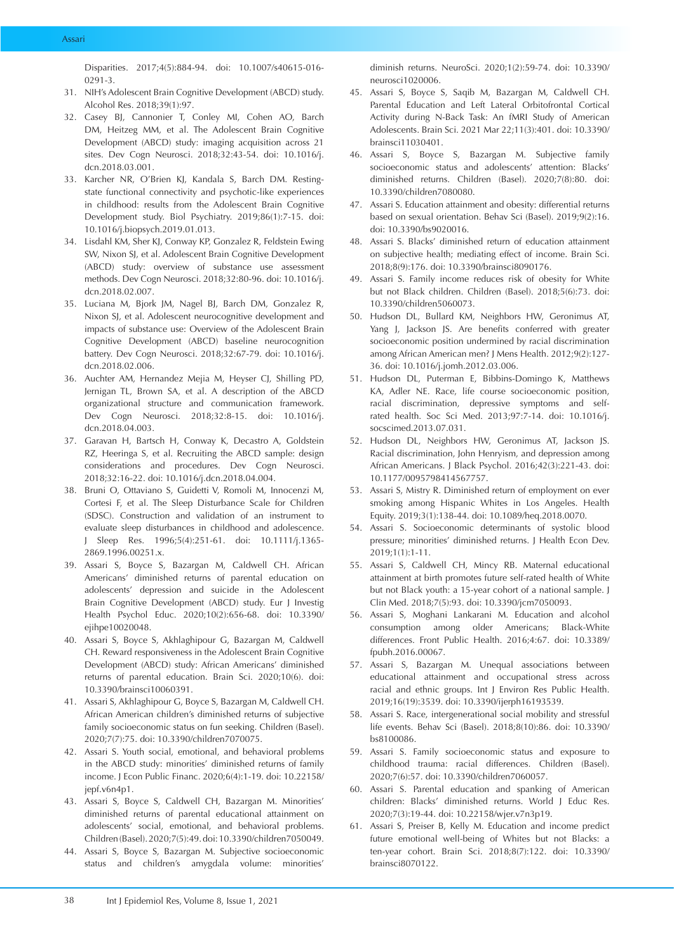Disparities. 2017;4(5):884-94. doi: 10.1007/s40615-016- 0291-3.

- 31. NIH's Adolescent Brain Cognitive Development (ABCD) study. Alcohol Res. 2018;39(1):97.
- 32. Casey BJ, Cannonier T, Conley MI, Cohen AO, Barch DM, Heitzeg MM, et al. The Adolescent Brain Cognitive Development (ABCD) study: imaging acquisition across 21 sites. Dev Cogn Neurosci. 2018;32:43-54. doi: 10.1016/j. dcn.2018.03.001.
- 33. Karcher NR, O'Brien KJ, Kandala S, Barch DM. Restingstate functional connectivity and psychotic-like experiences in childhood: results from the Adolescent Brain Cognitive Development study. Biol Psychiatry. 2019;86(1):7-15. doi: 10.1016/j.biopsych.2019.01.013.
- 34. Lisdahl KM, Sher KJ, Conway KP, Gonzalez R, Feldstein Ewing SW, Nixon SJ, et al. Adolescent Brain Cognitive Development (ABCD) study: overview of substance use assessment methods. Dev Cogn Neurosci. 2018;32:80-96. doi: 10.1016/j. dcn.2018.02.007.
- 35. Luciana M, Bjork JM, Nagel BJ, Barch DM, Gonzalez R, Nixon SJ, et al. Adolescent neurocognitive development and impacts of substance use: Overview of the Adolescent Brain Cognitive Development (ABCD) baseline neurocognition battery. Dev Cogn Neurosci. 2018;32:67-79. doi: 10.1016/j. dcn.2018.02.006.
- 36. Auchter AM, Hernandez Mejia M, Heyser CJ, Shilling PD, Jernigan TL, Brown SA, et al. A description of the ABCD organizational structure and communication framework. Dev Cogn Neurosci. 2018;32:8-15. doi: 10.1016/j. dcn.2018.04.003.
- 37. Garavan H, Bartsch H, Conway K, Decastro A, Goldstein RZ, Heeringa S, et al. Recruiting the ABCD sample: design considerations and procedures. Dev Cogn Neurosci. 2018;32:16-22. doi: 10.1016/j.dcn.2018.04.004.
- 38. Bruni O, Ottaviano S, Guidetti V, Romoli M, Innocenzi M, Cortesi F, et al. The Sleep Disturbance Scale for Children (SDSC). Construction and validation of an instrument to evaluate sleep disturbances in childhood and adolescence. J Sleep Res. 1996;5(4):251-61. doi: 10.1111/j.1365- 2869.1996.00251.x.
- 39. Assari S, Boyce S, Bazargan M, Caldwell CH. African Americans' diminished returns of parental education on adolescents' depression and suicide in the Adolescent Brain Cognitive Development (ABCD) study. Eur J Investig Health Psychol Educ. 2020;10(2):656-68. doi: 10.3390/ ejihpe10020048.
- 40. Assari S, Boyce S, Akhlaghipour G, Bazargan M, Caldwell CH. Reward responsiveness in the Adolescent Brain Cognitive Development (ABCD) study: African Americans' diminished returns of parental education. Brain Sci. 2020;10(6). doi: 10.3390/brainsci10060391.
- 41. Assari S, Akhlaghipour G, Boyce S, Bazargan M, Caldwell CH. African American children's diminished returns of subjective family socioeconomic status on fun seeking. Children (Basel). 2020;7(7):75. doi: 10.3390/children7070075.
- 42. Assari S. Youth social, emotional, and behavioral problems in the ABCD study: minorities' diminished returns of family income. J Econ Public Financ. 2020;6(4):1-19. doi: 10.22158/ jepf.v6n4p1.
- 43. Assari S, Boyce S, Caldwell CH, Bazargan M. Minorities' diminished returns of parental educational attainment on adolescents' social, emotional, and behavioral problems. Children (Basel). 2020;7(5):49. doi: 10.3390/children7050049.
- 44. Assari S, Boyce S, Bazargan M. Subjective socioeconomic status and children's amygdala volume: minorities'

diminish returns. NeuroSci. 2020;1(2):59-74. doi: 10.3390/ neurosci1020006.

- 45. Assari S, Boyce S, Saqib M, Bazargan M, Caldwell CH. Parental Education and Left Lateral Orbitofrontal Cortical Activity during N-Back Task: An fMRI Study of American Adolescents. Brain Sci. 2021 Mar 22;11(3):401. doi: 10.3390/ brainsci11030401.
- 46. Assari S, Boyce S, Bazargan M. Subjective family socioeconomic status and adolescents' attention: Blacks' diminished returns. Children (Basel). 2020;7(8):80. doi: 10.3390/children7080080.
- 47. Assari S. Education attainment and obesity: differential returns based on sexual orientation. Behav Sci (Basel). 2019;9(2):16. doi: 10.3390/bs9020016.
- 48. Assari S. Blacks' diminished return of education attainment on subjective health; mediating effect of income. Brain Sci. 2018;8(9):176. doi: 10.3390/brainsci8090176.
- 49. Assari S. Family income reduces risk of obesity for White but not Black children. Children (Basel). 2018;5(6):73. doi: 10.3390/children5060073.
- 50. Hudson DL, Bullard KM, Neighbors HW, Geronimus AT, Yang J, Jackson JS. Are benefits conferred with greater socioeconomic position undermined by racial discrimination among African American men? J Mens Health. 2012;9(2):127- 36. doi: 10.1016/j.jomh.2012.03.006.
- 51. Hudson DL, Puterman E, Bibbins-Domingo K, Matthews KA, Adler NE. Race, life course socioeconomic position, racial discrimination, depressive symptoms and selfrated health. Soc Sci Med. 2013;97:7-14. doi: 10.1016/j. socscimed.2013.07.031.
- 52. Hudson DL, Neighbors HW, Geronimus AT, Jackson JS. Racial discrimination, John Henryism, and depression among African Americans. J Black Psychol. 2016;42(3):221-43. doi: 10.1177/0095798414567757.
- 53. Assari S, Mistry R. Diminished return of employment on ever smoking among Hispanic Whites in Los Angeles. Health Equity. 2019;3(1):138-44. doi: 10.1089/heq.2018.0070.
- 54. Assari S. Socioeconomic determinants of systolic blood pressure; minorities' diminished returns. J Health Econ Dev. 2019;1(1):1-11.
- 55. Assari S, Caldwell CH, Mincy RB. Maternal educational attainment at birth promotes future self-rated health of White but not Black youth: a 15-year cohort of a national sample. J Clin Med. 2018;7(5):93. doi: 10.3390/jcm7050093.
- 56. Assari S, Moghani Lankarani M. Education and alcohol consumption among older Americans; Black-White differences. Front Public Health. 2016;4:67. doi: 10.3389/ fpubh.2016.00067.
- 57. Assari S, Bazargan M. Unequal associations between educational attainment and occupational stress across racial and ethnic groups. Int J Environ Res Public Health. 2019;16(19):3539. doi: 10.3390/ijerph16193539.
- 58. Assari S. Race, intergenerational social mobility and stressful life events. Behav Sci (Basel). 2018;8(10):86. doi: 10.3390/ bs8100086.
- 59. Assari S. Family socioeconomic status and exposure to childhood trauma: racial differences. Children (Basel). 2020;7(6):57. doi: 10.3390/children7060057.
- 60. Assari S. Parental education and spanking of American children: Blacks' diminished returns. World J Educ Res. 2020;7(3):19-44. doi: 10.22158/wjer.v7n3p19.
- 61. Assari S, Preiser B, Kelly M. Education and income predict future emotional well-being of Whites but not Blacks: a ten-year cohort. Brain Sci. 2018;8(7):122. doi: 10.3390/ brainsci8070122.